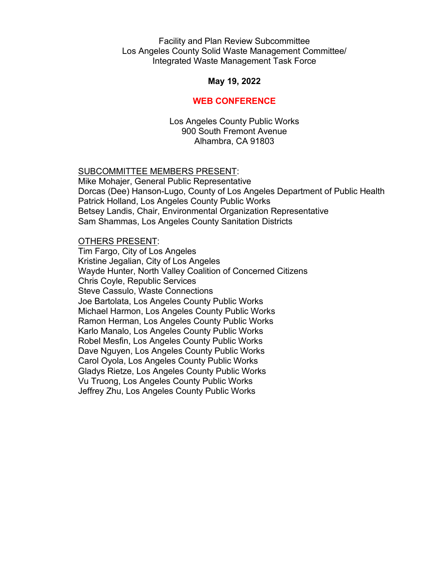## Facility and Plan Review Subcommittee Los Angeles County Solid Waste Management Committee/ Integrated Waste Management Task Force

## **May 19, 2022**

# **WEB CONFERENCE**

Los Angeles County Public Works 900 South Fremont Avenue Alhambra, CA 91803

#### SUBCOMMITTEE MEMBERS PRESENT:

Mike Mohajer, General Public Representative Dorcas (Dee) Hanson-Lugo, County of Los Angeles Department of Public Health Patrick Holland, Los Angeles County Public Works Betsey Landis, Chair, Environmental Organization Representative Sam Shammas, Los Angeles County Sanitation Districts

#### OTHERS PRESENT:

Tim Fargo, City of Los Angeles Kristine Jegalian, City of Los Angeles Wayde Hunter, North Valley Coalition of Concerned Citizens Chris Coyle, Republic Services Steve Cassulo, Waste Connections Joe Bartolata, Los Angeles County Public Works Michael Harmon, Los Angeles County Public Works Ramon Herman, Los Angeles County Public Works Karlo Manalo, Los Angeles County Public Works Robel Mesfin, Los Angeles County Public Works Dave Nguyen, Los Angeles County Public Works Carol Oyola, Los Angeles County Public Works Gladys Rietze, Los Angeles County Public Works Vu Truong, Los Angeles County Public Works Jeffrey Zhu, Los Angeles County Public Works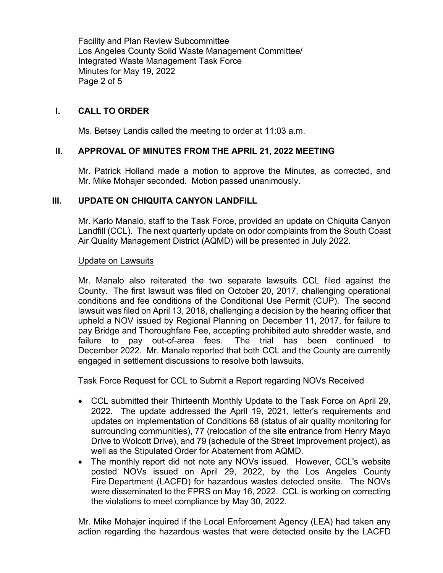Facility and Plan Review Subcommittee Los Angeles County Solid Waste Management Committee/ Integrated Waste Management Task Force Minutes for May 19, 2022 Page 2 of 5

# **I. CALL TO ORDER**

Ms. Betsey Landis called the meeting to order at 11:03 a.m.

# **II. APPROVAL OF MINUTES FROM THE APRIL 21, 2022 MEETING**

Mr. Patrick Holland made a motion to approve the Minutes, as corrected, and Mr. Mike Mohajer seconded. Motion passed unanimously.

# **III. UPDATE ON CHIQUITA CANYON LANDFILL**

Mr. Karlo Manalo, staff to the Task Force, provided an update on Chiquita Canyon Landfill (CCL). The next quarterly update on odor complaints from the South Coast Air Quality Management District (AQMD) will be presented in July 2022.

## Update on Lawsuits

Mr. Manalo also reiterated the two separate lawsuits CCL filed against the County. The first lawsuit was filed on October 20, 2017, challenging operational conditions and fee conditions of the Conditional Use Permit (CUP). The second lawsuit was filed on April 13, 2018, challenging a decision by the hearing officer that upheld a NOV issued by Regional Planning on December 11, 2017, for failure to pay Bridge and Thoroughfare Fee, accepting prohibited auto shredder waste, and failure to pay out-of-area fees. The trial has been continued to December 2022. Mr. Manalo reported that both CCL and the County are currently engaged in settlement discussions to resolve both lawsuits.

# Task Force Request for CCL to Submit a Report regarding NOVs Received

- CCL submitted their Thirteenth Monthly Update to the Task Force on April 29, 2022. The update addressed the April 19, 2021, letter's requirements and updates on implementation of Conditions 68 (status of air quality monitoring for surrounding communities), 77 (relocation of the site entrance from Henry Mayo Drive to Wolcott Drive), and 79 (schedule of the Street Improvement project), as well as the Stipulated Order for Abatement from AQMD.
- The monthly report did not note any NOVs issued. However, CCL's website posted NOVs issued on April 29, 2022, by the Los Angeles County Fire Department (LACFD) for hazardous wastes detected onsite. The NOVs were disseminated to the FPRS on May 16, 2022. CCL is working on correcting the violations to meet compliance by May 30, 2022.

Mr. Mike Mohajer inquired if the Local Enforcement Agency (LEA) had taken any action regarding the hazardous wastes that were detected onsite by the LACFD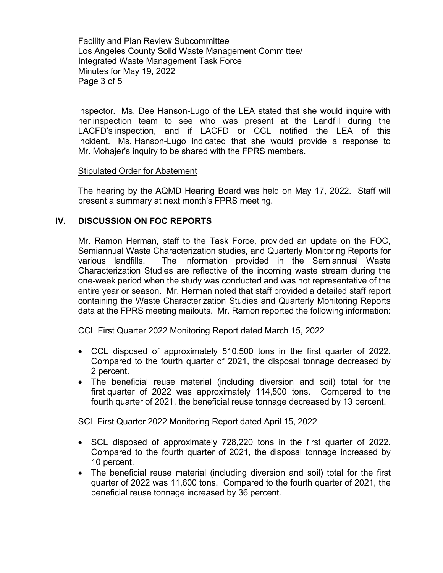Facility and Plan Review Subcommittee Los Angeles County Solid Waste Management Committee/ Integrated Waste Management Task Force Minutes for May 19, 2022 Page 3 of 5

inspector. Ms. Dee Hanson-Lugo of the LEA stated that she would inquire with her inspection team to see who was present at the Landfill during the LACFD's inspection, and if LACFD or CCL notified the LEA of this incident. Ms. Hanson-Lugo indicated that she would provide a response to Mr. Mohajer's inquiry to be shared with the FPRS members.

#### Stipulated Order for Abatement

The hearing by the AQMD Hearing Board was held on May 17, 2022. Staff will present a summary at next month's FPRS meeting.

## **IV. DISCUSSION ON FOC REPORTS**

Mr. Ramon Herman, staff to the Task Force, provided an update on the FOC, Semiannual Waste Characterization studies, and Quarterly Monitoring Reports for various landfills. The information provided in the Semiannual Waste Characterization Studies are reflective of the incoming waste stream during the one-week period when the study was conducted and was not representative of the entire year or season. Mr. Herman noted that staff provided a detailed staff report containing the Waste Characterization Studies and Quarterly Monitoring Reports data at the FPRS meeting mailouts. Mr. Ramon reported the following information:

#### CCL First Quarter 2022 Monitoring Report dated March 15, 2022

- CCL disposed of approximately 510,500 tons in the first quarter of 2022. Compared to the fourth quarter of 2021, the disposal tonnage decreased by 2 percent.
- The beneficial reuse material (including diversion and soil) total for the first quarter of 2022 was approximately 114,500 tons. Compared to the fourth quarter of 2021, the beneficial reuse tonnage decreased by 13 percent.

#### SCL First Quarter 2022 Monitoring Report dated April 15, 2022

- SCL disposed of approximately 728,220 tons in the first quarter of 2022. Compared to the fourth quarter of 2021, the disposal tonnage increased by 10 percent.
- The beneficial reuse material (including diversion and soil) total for the first quarter of 2022 was 11,600 tons. Compared to the fourth quarter of 2021, the beneficial reuse tonnage increased by 36 percent.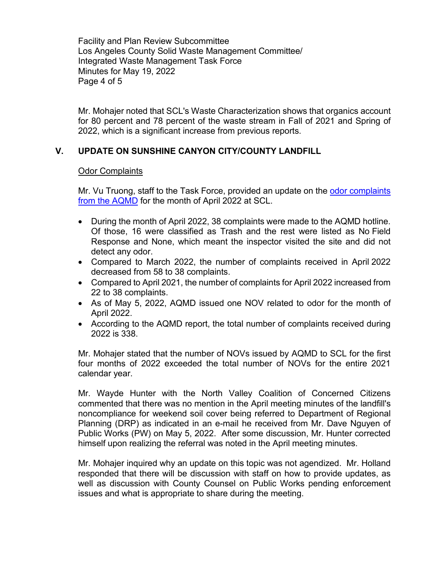Facility and Plan Review Subcommittee Los Angeles County Solid Waste Management Committee/ Integrated Waste Management Task Force Minutes for May 19, 2022 Page 4 of 5

Mr. Mohajer noted that SCL's Waste Characterization shows that organics account for 80 percent and 78 percent of the waste stream in Fall of 2021 and Spring of 2022, which is a significant increase from previous reports.

# **V. UPDATE ON SUNSHINE CANYON CITY/COUNTY LANDFILL**

# Odor Complaints

Mr. Vu Truong, staff to the Task Force, provided an update on the odor complaints [from the AQMD](https://pw.lacounty.gov/epd/tf/Attachments/Minutes_Attachments/2022_Attachments/April_2022-AQMD_complaint-nov-summary.pdf) for the month of April 2022 at SCL.

- During the month of April 2022, 38 complaints were made to the AQMD hotline. Of those, 16 were classified as Trash and the rest were listed as No Field Response and None, which meant the inspector visited the site and did not detect any odor.
- Compared to March 2022, the number of complaints received in April 2022 decreased from 58 to 38 complaints.
- Compared to April 2021, the number of complaints for April 2022 increased from 22 to 38 complaints.
- As of May 5, 2022, AQMD issued one NOV related to odor for the month of April 2022.
- According to the AQMD report, the total number of complaints received during 2022 is 338.

Mr. Mohajer stated that the number of NOVs issued by AQMD to SCL for the first four months of 2022 exceeded the total number of NOVs for the entire 2021 calendar year.

Mr. Wayde Hunter with the North Valley Coalition of Concerned Citizens commented that there was no mention in the April meeting minutes of the landfill's noncompliance for weekend soil cover being referred to Department of Regional Planning (DRP) as indicated in an e-mail he received from Mr. Dave Nguyen of Public Works (PW) on May 5, 2022. After some discussion, Mr. Hunter corrected himself upon realizing the referral was noted in the April meeting minutes.

Mr. Mohajer inquired why an update on this topic was not agendized. Mr. Holland responded that there will be discussion with staff on how to provide updates, as well as discussion with County Counsel on Public Works pending enforcement issues and what is appropriate to share during the meeting.